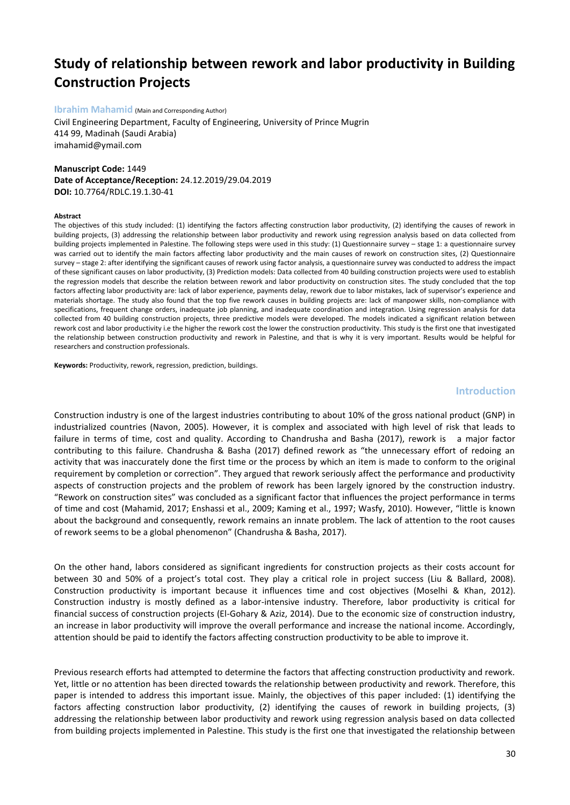# **Study of relationship between rework and labor productivity in Building Construction Projects**

## **Ibrahim Mahamid** (Main and Corresponding Author)

Civil Engineering Department, Faculty of Engineering, University of Prince Mugrin 414 99, Madinah (Saudi Arabia) [imahamid@ymail.com](mailto:imahamid@ymail.com)

## **Manuscript Code:** 1449 **Date of Acceptance/Reception:** 24.12.2019/29.04.2019 **DOI:** 10.7764/RDLC.19.1.30-41

#### **Abstract**

The objectives of this study included: (1) identifying the factors affecting construction labor productivity, (2) identifying the causes of rework in building projects, (3) addressing the relationship between labor productivity and rework using regression analysis based on data collected from building projects implemented in Palestine. The following steps were used in this study: (1) Questionnaire survey – stage 1: a questionnaire survey was carried out to identify the main factors affecting labor productivity and the main causes of rework on construction sites, (2) Questionnaire survey – stage 2: after identifying the significant causes of rework using factor analysis, a questionnaire survey was conducted to address the impact of these significant causes on labor productivity, (3) Prediction models: Data collected from 40 building construction projects were used to establish the regression models that describe the relation between rework and labor productivity on construction sites. The study concluded that the top factors affecting labor productivity are: lack of labor experience, payments delay, rework due to labor mistakes, lack of supervisor's experience and materials shortage. The study also found that the top five rework causes in building projects are: lack of manpower skills, non-compliance with specifications, frequent change orders, inadequate job planning, and inadequate coordination and integration. Using regression analysis for data collected from 40 building construction projects, three predictive models were developed. The models indicated a significant relation between rework cost and labor productivity i.e the higher the rework cost the lower the construction productivity. This study is the first one that investigated the relationship between construction productivity and rework in Palestine, and that is why it is very important. Results would be helpful for researchers and construction professionals.

**Keywords:** Productivity, rework, regression, prediction, buildings.

#### **Introduction**

Construction industry is one of the largest industries contributing to about 10% of the gross national product (GNP) in industrialized countries (Navon, 2005). However, it is complex and associated with high level of risk that leads to failure in terms of time, cost and quality. According to Chandrusha and Basha (2017), rework is a major factor contributing to this failure. Chandrusha & Basha (2017) defined rework as "the unnecessary effort of redoing an activity that was inaccurately done the first time or the process by which an item is made to conform to the original requirement by completion or correction". They argued that rework seriously affect the performance and productivity aspects of construction projects and the problem of rework has been largely ignored by the construction industry. "Rework on construction sites" was concluded as a significant factor that influences the project performance in terms of time and cost (Mahamid, 2017; Enshassi et al., 2009; Kaming et al., 1997; Wasfy, 2010). However, "little is known about the background and consequently, rework remains an innate problem. The lack of attention to the root causes of rework seems to be a global phenomenon" (Chandrusha & Basha, 2017).

On the other hand, labors considered as significant ingredients for construction projects as their costs account for between 30 and 50% of a project's total cost. They play a critical role in project success (Liu & Ballard, 2008). Construction productivity is important because it influences time and cost objectives (Moselhi & Khan, 2012). Construction industry is mostly defined as a labor-intensive industry. Therefore, labor productivity is critical for financial success of construction projects (El-Gohary & Aziz, 2014). Due to the economic size of construction industry, an increase in labor productivity will improve the overall performance and increase the national income. Accordingly, attention should be paid to identify the factors affecting construction productivity to be able to improve it.

Previous research efforts had attempted to determine the factors that affecting construction productivity and rework. Yet, little or no attention has been directed towards the relationship between productivity and rework. Therefore, this paper is intended to address this important issue. Mainly, the objectives of this paper included: (1) identifying the factors affecting construction labor productivity, (2) identifying the causes of rework in building projects, (3) addressing the relationship between labor productivity and rework using regression analysis based on data collected from building projects implemented in Palestine. This study is the first one that investigated the relationship between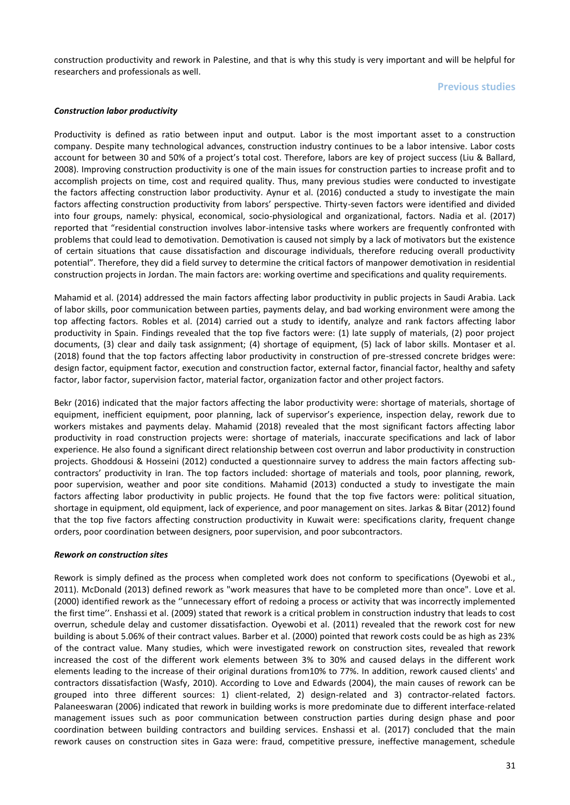construction productivity and rework in Palestine, and that is why this study is very important and will be helpful for researchers and professionals as well.

## **Previous studies**

## *Construction labor productivity*

Productivity is defined as ratio between input and output. Labor is the most important asset to a construction company. Despite many technological advances, construction industry continues to be a labor intensive. Labor costs account for between 30 and 50% of a project's total cost. Therefore, labors are key of project success (Liu & Ballard, 2008). Improving construction productivity is one of the main issues for construction parties to increase profit and to accomplish projects on time, cost and required quality. Thus, many previous studies were conducted to investigate the factors affecting construction labor productivity. Aynur et al. (2016) conducted a study to investigate the main factors affecting construction productivity from labors' perspective. Thirty-seven factors were identified and divided into four groups, namely: physical, economical, socio-physiological and organizational, factors. Nadia et al. (2017) reported that "residential construction involves labor-intensive tasks where workers are frequently confronted with problems that could lead to demotivation. Demotivation is caused not simply by a lack of motivators but the existence of certain situations that cause dissatisfaction and discourage individuals, therefore reducing overall productivity potential". Therefore, they did a field survey to determine the critical factors of manpower demotivation in residential construction projects in Jordan. The main factors are: working overtime and specifications and quality requirements.

Mahamid et al. (2014) addressed the main factors affecting labor productivity in public projects in Saudi Arabia. Lack of labor skills, poor communication between parties, payments delay, and bad working environment were among the top affecting factors. Robles et al. (2014) carried out a study to identify, analyze and rank factors affecting labor productivity in Spain. Findings revealed that the top five factors were: (1) late supply of materials, (2) poor project documents, (3) clear and daily task assignment; (4) shortage of equipment, (5) lack of labor skills. Montaser et al. (2018) found that the top factors affecting labor productivity in construction of pre-stressed concrete bridges were: design factor, equipment factor, execution and construction factor, external factor, financial factor, healthy and safety factor, labor factor, supervision factor, material factor, organization factor and other project factors.

Bekr (2016) indicated that the major factors affecting the labor productivity were: shortage of materials, shortage of equipment, inefficient equipment, poor planning, lack of supervisor's experience, inspection delay, rework due to workers mistakes and payments delay. Mahamid (2018) revealed that the most significant factors affecting labor productivity in road construction projects were: shortage of materials, inaccurate specifications and lack of labor experience. He also found a significant direct relationship between cost overrun and labor productivity in construction projects. Ghoddousi & Hosseini (2012) conducted a questionnaire survey to address the main factors affecting subcontractors' productivity in Iran. The top factors included: shortage of materials and tools, poor planning, rework, poor supervision, weather and poor site conditions. Mahamid (2013) conducted a study to investigate the main factors affecting labor productivity in public projects. He found that the top five factors were: political situation, shortage in equipment, old equipment, lack of experience, and poor management on sites. Jarkas & Bitar (2012) found that the top five factors affecting construction productivity in Kuwait were: specifications clarity, frequent change orders, poor coordination between designers, poor supervision, and poor subcontractors.

## *Rework on construction sites*

Rework is simply defined as the process when completed work does not conform to specifications (Oyewobi et al., 2011). McDonald (2013) defined rework as "work measures that have to be completed more than once". Love et al. (2000) identified rework as the ''unnecessary effort of redoing a process or activity that was incorrectly implemented the first time''. Enshassi et al. (2009) stated that rework is a critical problem in construction industry that leads to cost overrun, schedule delay and customer dissatisfaction. Oyewobi et al. (2011) revealed that the rework cost for new building is about 5.06% of their contract values. Barber et al. (2000) pointed that rework costs could be as high as 23% of the contract value. Many studies, which were investigated rework on construction sites, revealed that rework increased the cost of the different work elements between 3% to 30% and caused delays in the different work elements leading to the increase of their original durations from10% to 77%. In addition, rework caused clients' and contractors dissatisfaction (Wasfy, 2010). According to Love and Edwards (2004), the main causes of rework can be grouped into three different sources: 1) client-related, 2) design-related and 3) contractor-related factors. Palaneeswaran (2006) indicated that rework in building works is more predominate due to different interface-related management issues such as poor communication between construction parties during design phase and poor coordination between building contractors and building services. Enshassi et al. (2017) concluded that the main rework causes on construction sites in Gaza were: fraud, competitive pressure, ineffective management, schedule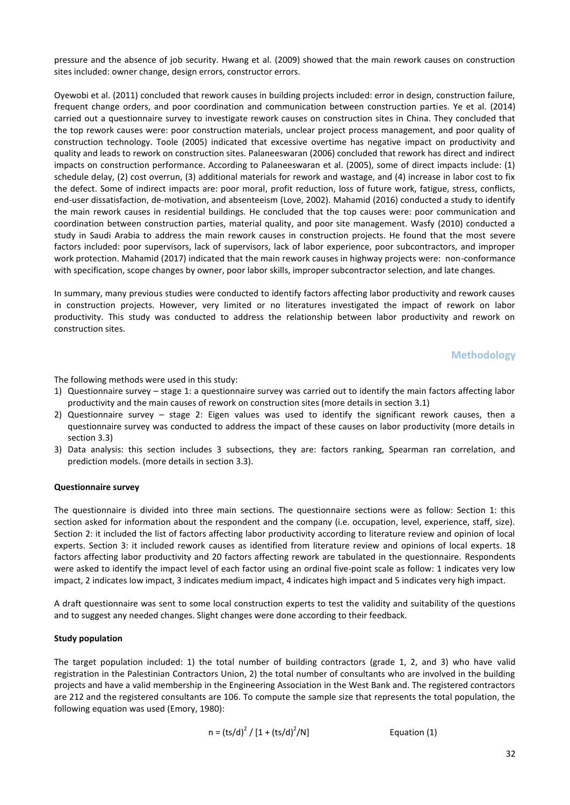pressure and the absence of job security. Hwang et al. (2009) showed that the main rework causes on construction sites included: owner change, design errors, constructor errors.

Oyewobi et al. (2011) concluded that rework causes in building projects included: error in design, construction failure, frequent change orders, and poor coordination and communication between construction parties. Ye et al. (2014) carried out a questionnaire survey to investigate rework causes on construction sites in China. They concluded that the top rework causes were: poor construction materials, unclear project process management, and poor quality of construction technology. Toole (2005) indicated that excessive overtime has negative impact on productivity and quality and leads to rework on construction sites. Palaneeswaran (2006) concluded that rework has direct and indirect impacts on construction performance. According to Palaneeswaran et al. (2005), some of direct impacts include: (1) schedule delay, (2) cost overrun, (3) additional materials for rework and wastage, and (4) increase in labor cost to fix the defect. Some of indirect impacts are: poor moral, profit reduction, loss of future work, fatigue, stress, conflicts, end-user dissatisfaction, de-motivation, and absenteeism (Love, 2002). Mahamid (2016) conducted a study to identify the main rework causes in residential buildings. He concluded that the top causes were: poor communication and coordination between construction parties, material quality, and poor site management. Wasfy (2010) conducted a study in Saudi Arabia to address the main rework causes in construction projects. He found that the most severe factors included: poor supervisors, lack of supervisors, lack of labor experience, poor subcontractors, and improper work protection. Mahamid (2017) indicated that the main rework causes in highway projects were: non-conformance with specification, scope changes by owner, poor labor skills, improper subcontractor selection, and late changes.

In summary, many previous studies were conducted to identify factors affecting labor productivity and rework causes in construction projects. However, very limited or no literatures investigated the impact of rework on labor productivity. This study was conducted to address the relationship between labor productivity and rework on construction sites.

## **Methodology**

The following methods were used in this study:

- 1) Questionnaire survey stage 1: a questionnaire survey was carried out to identify the main factors affecting labor productivity and the main causes of rework on construction sites (more details in section 3.1)
- 2) Questionnaire survey stage 2: Eigen values was used to identify the significant rework causes, then a questionnaire survey was conducted to address the impact of these causes on labor productivity (more details in section 3.3)
- 3) Data analysis: this section includes 3 subsections, they are: factors ranking, Spearman ran correlation, and prediction models. (more details in section 3.3).

## **Questionnaire survey**

The questionnaire is divided into three main sections. The questionnaire sections were as follow: Section 1: this section asked for information about the respondent and the company (i.e. occupation, level, experience, staff, size). Section 2: it included the list of factors affecting labor productivity according to literature review and opinion of local experts. Section 3: it included rework causes as identified from literature review and opinions of local experts. 18 factors affecting labor productivity and 20 factors affecting rework are tabulated in the questionnaire. Respondents were asked to identify the impact level of each factor using an ordinal five-point scale as follow: 1 indicates very low impact, 2 indicates low impact, 3 indicates medium impact, 4 indicates high impact and 5 indicates very high impact.

A draft questionnaire was sent to some local construction experts to test the validity and suitability of the questions and to suggest any needed changes. Slight changes were done according to their feedback.

## **Study population**

The target population included: 1) the total number of building contractors (grade 1, 2, and 3) who have valid registration in the Palestinian Contractors Union, 2) the total number of consultants who are involved in the building projects and have a valid membership in the Engineering Association in the West Bank and. The registered contractors are 212 and the registered consultants are 106. To compute the sample size that represents the total population, the following equation was used (Emory, 1980):

$$
n = (ts/d)^2 / [1 + (ts/d)^2/N]
$$

Equation (1)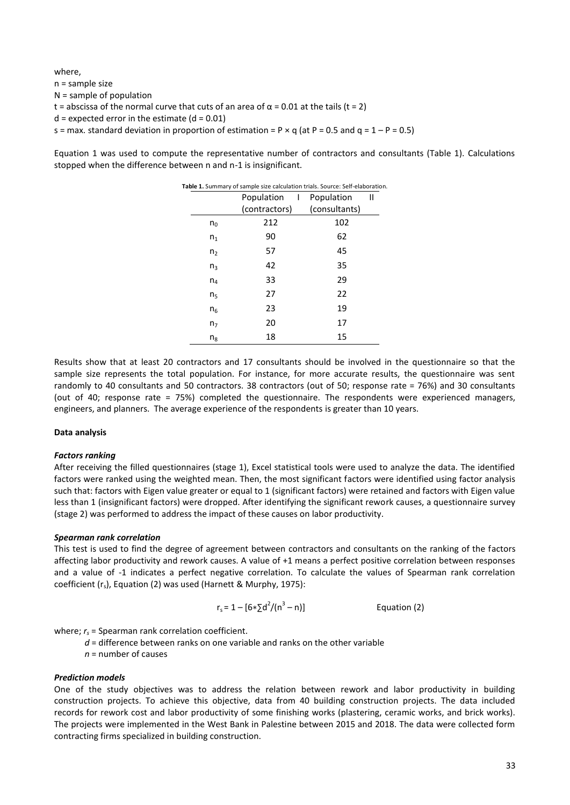where, n = sample size N = sample of population t = abscissa of the normal curve that cuts of an area of  $\alpha$  = 0.01 at the tails (t = 2)  $d =$  expected error in the estimate ( $d = 0.01$ ) s = max. standard deviation in proportion of estimation = P  $\times$  q (at P = 0.5 and q = 1 – P = 0.5)

Equation 1 was used to compute the representative number of contractors and consultants (Table 1). Calculations stopped when the difference between n and n-1 is insignificant.

| Table 1. Summary of sample size calculation trials. Source: Self-elaboration. |               |                         |               |   |  |  |
|-------------------------------------------------------------------------------|---------------|-------------------------|---------------|---|--|--|
|                                                                               | Population    | $\mathbf{T}_\mathrm{c}$ | Population    | Ш |  |  |
|                                                                               | (contractors) |                         | (consultants) |   |  |  |
| $n_0$                                                                         | 212           |                         | 102           |   |  |  |
| n <sub>1</sub>                                                                | 90            |                         | 62            |   |  |  |
| n <sub>2</sub>                                                                | 57            |                         | 45            |   |  |  |
| $n_{3}$                                                                       | 42            |                         | 35            |   |  |  |
| $n_4$                                                                         | 33            |                         | 29            |   |  |  |
| n <sub>5</sub>                                                                | 27            |                         | 22            |   |  |  |
| n <sub>6</sub>                                                                | 23            |                         | 19            |   |  |  |
| n <sub>7</sub>                                                                | 20            |                         | 17            |   |  |  |
| $n_{8}$                                                                       | 18            |                         | 15            |   |  |  |

Results show that at least 20 contractors and 17 consultants should be involved in the questionnaire so that the sample size represents the total population. For instance, for more accurate results, the questionnaire was sent randomly to 40 consultants and 50 contractors. 38 contractors (out of 50; response rate = 76%) and 30 consultants (out of 40; response rate = 75%) completed the questionnaire. The respondents were experienced managers, engineers, and planners. The average experience of the respondents is greater than 10 years.

#### **Data analysis**

#### *Factors ranking*

After receiving the filled questionnaires (stage 1), Excel statistical tools were used to analyze the data. The identified factors were ranked using the weighted mean. Then, the most significant factors were identified using factor analysis such that: factors with Eigen value greater or equal to 1 (significant factors) were retained and factors with Eigen value less than 1 (insignificant factors) were dropped. After identifying the significant rework causes, a questionnaire survey (stage 2) was performed to address the impact of these causes on labor productivity.

#### *Spearman rank correlation*

This test is used to find the degree of agreement between contractors and consultants on the ranking of the factors affecting labor productivity and rework causes. A value of +1 means a perfect positive correlation between responses and a value of -1 indicates a perfect negative correlation. To calculate the values of Spearman rank correlation coefficient (r<sub>s</sub>), Equation (2) was used (Harnett & Murphy, 1975):

$$
r_s = 1 - [6*\Sigma d^2/(n^3 - n)]
$$
 Equation (2)

where:  $r<sub>s</sub>$  = Spearman rank correlation coefficient.

- *d* = difference between ranks on one variable and ranks on the other variable
- *n* = number of causes

#### *Prediction models*

One of the study objectives was to address the relation between rework and labor productivity in building construction projects. To achieve this objective, data from 40 building construction projects. The data included records for rework cost and labor productivity of some finishing works (plastering, ceramic works, and brick works). The projects were implemented in the West Bank in Palestine between 2015 and 2018. The data were collected form contracting firms specialized in building construction.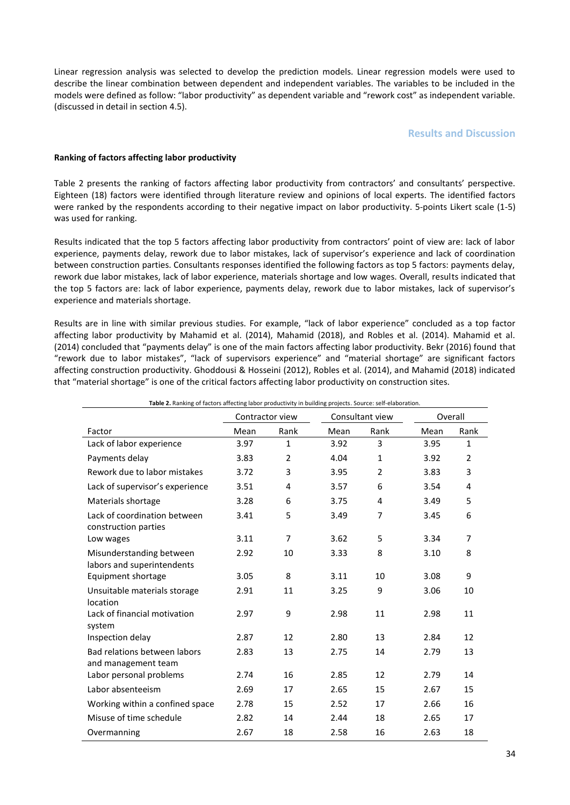Linear regression analysis was selected to develop the prediction models. Linear regression models were used to describe the linear combination between dependent and independent variables. The variables to be included in the models were defined as follow: "labor productivity" as dependent variable and "rework cost" as independent variable. (discussed in detail in section 4.5).

## **Results and Discussion**

#### **Ranking of factors affecting labor productivity**

Table 2 presents the ranking of factors affecting labor productivity from contractors' and consultants' perspective. Eighteen (18) factors were identified through literature review and opinions of local experts. The identified factors were ranked by the respondents according to their negative impact on labor productivity. 5-points Likert scale (1-5) was used for ranking.

Results indicated that the top 5 factors affecting labor productivity from contractors' point of view are: lack of labor experience, payments delay, rework due to labor mistakes, lack of supervisor's experience and lack of coordination between construction parties. Consultants responses identified the following factors as top 5 factors: payments delay, rework due labor mistakes, lack of labor experience, materials shortage and low wages. Overall, results indicated that the top 5 factors are: lack of labor experience, payments delay, rework due to labor mistakes, lack of supervisor's experience and materials shortage.

Results are in line with similar previous studies. For example, "lack of labor experience" concluded as a top factor affecting labor productivity by Mahamid et al. (2014), Mahamid (2018), and Robles et al. (2014). Mahamid et al. (2014) concluded that "payments delay" is one of the main factors affecting labor productivity. Bekr (2016) found that "rework due to labor mistakes", "lack of supervisors experience" and "material shortage" are significant factors affecting construction productivity. Ghoddousi & Hosseini (2012), Robles et al. (2014), and Mahamid (2018) indicated that "material shortage" is one of the critical factors affecting labor productivity on construction sites.

| Table 2. Ranking of factors affecting labor productivity in building projects. Source: self-elaboration. |                                    |                |         |                |      |                |  |  |  |
|----------------------------------------------------------------------------------------------------------|------------------------------------|----------------|---------|----------------|------|----------------|--|--|--|
|                                                                                                          | Consultant view<br>Contractor view |                | Overall |                |      |                |  |  |  |
| Factor                                                                                                   | Mean                               | Rank           | Mean    | Rank           | Mean | Rank           |  |  |  |
| Lack of labor experience                                                                                 | 3.97                               | $\mathbf{1}$   | 3.92    | 3              | 3.95 | $\mathbf{1}$   |  |  |  |
| Payments delay                                                                                           | 3.83                               | $\overline{2}$ | 4.04    | $\mathbf{1}$   | 3.92 | $\overline{2}$ |  |  |  |
| Rework due to labor mistakes                                                                             | 3.72                               | 3              | 3.95    | 2              | 3.83 | 3              |  |  |  |
| Lack of supervisor's experience                                                                          | 3.51                               | 4              | 3.57    | 6              | 3.54 | 4              |  |  |  |
| Materials shortage                                                                                       | 3.28                               | 6              | 3.75    | 4              | 3.49 | 5              |  |  |  |
| Lack of coordination between<br>construction parties                                                     | 3.41                               | 5              | 3.49    | $\overline{7}$ | 3.45 | 6              |  |  |  |
| Low wages                                                                                                | 3.11                               | 7              | 3.62    | 5              | 3.34 | 7              |  |  |  |
| Misunderstanding between<br>labors and superintendents                                                   | 2.92                               | 10             | 3.33    | 8              | 3.10 | 8              |  |  |  |
| Equipment shortage                                                                                       | 3.05                               | 8              | 3.11    | 10             | 3.08 | 9              |  |  |  |
| Unsuitable materials storage<br>location                                                                 | 2.91                               | 11             | 3.25    | 9              | 3.06 | 10             |  |  |  |
| Lack of financial motivation<br>system                                                                   | 2.97                               | 9              | 2.98    | 11             | 2.98 | 11             |  |  |  |
| Inspection delay                                                                                         | 2.87                               | 12             | 2.80    | 13             | 2.84 | 12             |  |  |  |
| Bad relations between labors<br>and management team                                                      | 2.83                               | 13             | 2.75    | 14             | 2.79 | 13             |  |  |  |
| Labor personal problems                                                                                  | 2.74                               | 16             | 2.85    | 12             | 2.79 | 14             |  |  |  |
| Labor absenteeism                                                                                        | 2.69                               | 17             | 2.65    | 15             | 2.67 | 15             |  |  |  |
| Working within a confined space                                                                          | 2.78                               | 15             | 2.52    | 17             | 2.66 | 16             |  |  |  |
| Misuse of time schedule                                                                                  | 2.82                               | 14             | 2.44    | 18             | 2.65 | 17             |  |  |  |
| Overmanning                                                                                              | 2.67                               | 18             | 2.58    | 16             | 2.63 | 18             |  |  |  |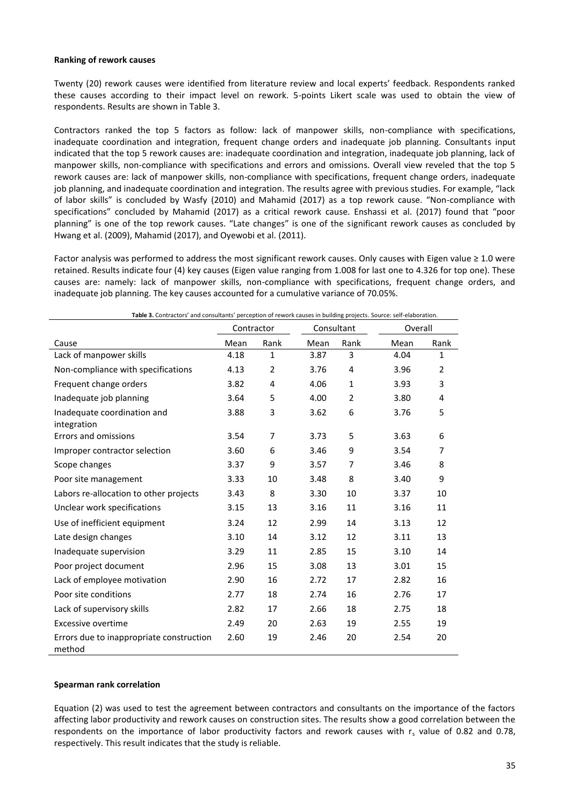#### **Ranking of rework causes**

Twenty (20) rework causes were identified from literature review and local experts' feedback. Respondents ranked these causes according to their impact level on rework. 5-points Likert scale was used to obtain the view of respondents. Results are shown in Table 3.

Contractors ranked the top 5 factors as follow: lack of manpower skills, non-compliance with specifications, inadequate coordination and integration, frequent change orders and inadequate job planning. Consultants input indicated that the top 5 rework causes are: inadequate coordination and integration, inadequate job planning, lack of manpower skills, non-compliance with specifications and errors and omissions. Overall view reveled that the top 5 rework causes are: lack of manpower skills, non-compliance with specifications, frequent change orders, inadequate job planning, and inadequate coordination and integration. The results agree with previous studies. For example, "lack of labor skills" is concluded by Wasfy (2010) and Mahamid (2017) as a top rework cause. "Non-compliance with specifications" concluded by Mahamid (2017) as a critical rework cause. Enshassi et al. (2017) found that "poor planning" is one of the top rework causes. "Late changes" is one of the significant rework causes as concluded by Hwang et al. (2009), Mahamid (2017), and Oyewobi et al. (2011).

Factor analysis was performed to address the most significant rework causes. Only causes with Eigen value ≥ 1.0 were retained. Results indicate four (4) key causes (Eigen value ranging from 1.008 for last one to 4.326 for top one). These causes are: namely: lack of manpower skills, non-compliance with specifications, frequent change orders, and inadequate job planning. The key causes accounted for a cumulative variance of 70.05%.

| <b>Table 31</b> Contractors and consultants perception of rework causes in banang projects. Source: sen-claboration. | Contractor |              | Consultant |                |      | Overall      |  |
|----------------------------------------------------------------------------------------------------------------------|------------|--------------|------------|----------------|------|--------------|--|
| Cause                                                                                                                | Mean       | Rank         | Mean       | Rank           | Mean | Rank         |  |
| Lack of manpower skills                                                                                              | 4.18       | $\mathbf{1}$ | 3.87       | 3              | 4.04 | $\mathbf{1}$ |  |
| Non-compliance with specifications                                                                                   | 4.13       | 2            | 3.76       | 4              | 3.96 | 2            |  |
| Frequent change orders                                                                                               | 3.82       | 4            | 4.06       | $\mathbf{1}$   | 3.93 | 3            |  |
| Inadequate job planning                                                                                              | 3.64       | 5            | 4.00       | $\overline{2}$ | 3.80 | 4            |  |
| Inadequate coordination and<br>integration                                                                           | 3.88       | 3            | 3.62       | 6              | 3.76 | 5            |  |
| Errors and omissions                                                                                                 | 3.54       | 7            | 3.73       | 5              | 3.63 | 6            |  |
| Improper contractor selection                                                                                        | 3.60       | 6            | 3.46       | 9              | 3.54 | 7            |  |
| Scope changes                                                                                                        | 3.37       | 9            | 3.57       | $\overline{7}$ | 3.46 | 8            |  |
| Poor site management                                                                                                 | 3.33       | 10           | 3.48       | 8              | 3.40 | 9            |  |
| Labors re-allocation to other projects                                                                               | 3.43       | 8            | 3.30       | 10             | 3.37 | 10           |  |
| Unclear work specifications                                                                                          | 3.15       | 13           | 3.16       | 11             | 3.16 | 11           |  |
| Use of inefficient equipment                                                                                         | 3.24       | 12           | 2.99       | 14             | 3.13 | 12           |  |
| Late design changes                                                                                                  | 3.10       | 14           | 3.12       | 12             | 3.11 | 13           |  |
| Inadequate supervision                                                                                               | 3.29       | 11           | 2.85       | 15             | 3.10 | 14           |  |
| Poor project document                                                                                                | 2.96       | 15           | 3.08       | 13             | 3.01 | 15           |  |
| Lack of employee motivation                                                                                          | 2.90       | 16           | 2.72       | 17             | 2.82 | 16           |  |
| Poor site conditions                                                                                                 | 2.77       | 18           | 2.74       | 16             | 2.76 | 17           |  |
| Lack of supervisory skills                                                                                           | 2.82       | 17           | 2.66       | 18             | 2.75 | 18           |  |
| Excessive overtime                                                                                                   | 2.49       | 20           | 2.63       | 19             | 2.55 | 19           |  |
| Errors due to inappropriate construction<br>method                                                                   | 2.60       | 19           | 2.46       | 20             | 2.54 | 20           |  |

**Table 3.** Contractors' and consultants' perception of rework causes in building projects. Source: self-elaboration.

#### **Spearman rank correlation**

Equation (2) was used to test the agreement between contractors and consultants on the importance of the factors affecting labor productivity and rework causes on construction sites. The results show a good correlation between the respondents on the importance of labor productivity factors and rework causes with  $r_s$  value of 0.82 and 0.78, respectively. This result indicates that the study is reliable.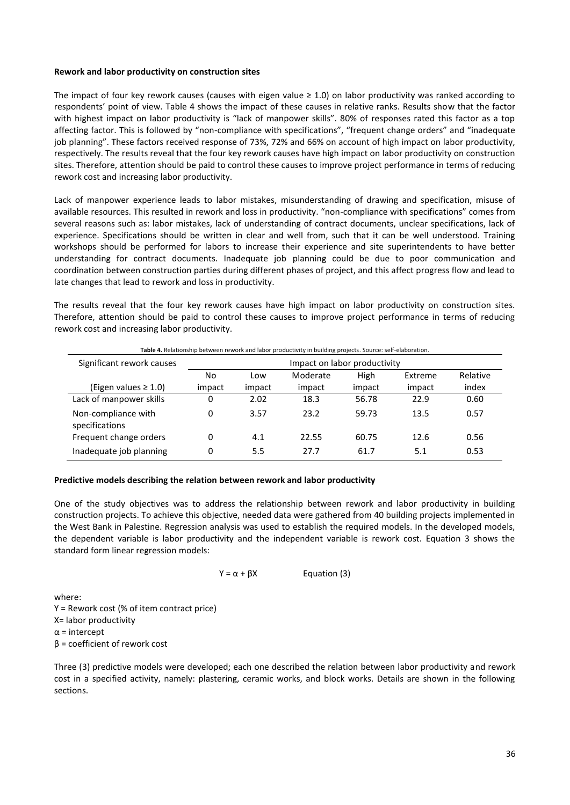### **Rework and labor productivity on construction sites**

The impact of four key rework causes (causes with eigen value  $\geq 1.0$ ) on labor productivity was ranked according to respondents' point of view. Table 4 shows the impact of these causes in relative ranks. Results show that the factor with highest impact on labor productivity is "lack of manpower skills". 80% of responses rated this factor as a top affecting factor. This is followed by "non-compliance with specifications", "frequent change orders" and "inadequate job planning". These factors received response of 73%, 72% and 66% on account of high impact on labor productivity, respectively. The results reveal that the four key rework causes have high impact on labor productivity on construction sites. Therefore, attention should be paid to control these causes to improve project performance in terms of reducing rework cost and increasing labor productivity.

Lack of manpower experience leads to labor mistakes, misunderstanding of drawing and specification, misuse of available resources. This resulted in rework and loss in productivity. "non-compliance with specifications" comes from several reasons such as: labor mistakes, lack of understanding of contract documents, unclear specifications, lack of experience. Specifications should be written in clear and well from, such that it can be well understood. Training workshops should be performed for labors to increase their experience and site superintendents to have better understanding for contract documents. Inadequate job planning could be due to poor communication and coordination between construction parties during different phases of project, and this affect progress flow and lead to late changes that lead to rework and loss in productivity.

The results reveal that the four key rework causes have high impact on labor productivity on construction sites. Therefore, attention should be paid to control these causes to improve project performance in terms of reducing rework cost and increasing labor productivity.

| Table 4. Relationship between rework and labor productivity in building projects. Source: self-elaboration. |        |                              |          |        |         |          |  |  |
|-------------------------------------------------------------------------------------------------------------|--------|------------------------------|----------|--------|---------|----------|--|--|
| Significant rework causes                                                                                   |        | Impact on labor productivity |          |        |         |          |  |  |
|                                                                                                             | No     | Low                          | Moderate | High   | Extreme | Relative |  |  |
| (Eigen values ≥ 1.0)                                                                                        | impact | impact                       | impact   | impact | impact  | index    |  |  |
| Lack of manpower skills                                                                                     | 0      | 2.02                         | 18.3     | 56.78  | 22.9    | 0.60     |  |  |
| Non-compliance with<br>specifications                                                                       | 0      | 3.57                         | 23.2     | 59.73  | 13.5    | 0.57     |  |  |
| Frequent change orders                                                                                      | 0      | 4.1                          | 22.55    | 60.75  | 12.6    | 0.56     |  |  |
| Inadequate job planning                                                                                     | 0      | 5.5                          | 27.7     | 61.7   | 5.1     | 0.53     |  |  |

#### **Predictive models describing the relation between rework and labor productivity**

One of the study objectives was to address the relationship between rework and labor productivity in building construction projects. To achieve this objective, needed data were gathered from 40 building projects implemented in the West Bank in Palestine. Regression analysis was used to establish the required models. In the developed models, the dependent variable is labor productivity and the independent variable is rework cost. Equation 3 shows the standard form linear regression models:

$$
Y = \alpha + \beta X
$$
 Equation (3)

where:

Y = Rework cost (% of item contract price) X= labor productivity  $\alpha$  = intercept β = coefficient of rework cost

Three (3) predictive models were developed; each one described the relation between labor productivity and rework cost in a specified activity, namely: plastering, ceramic works, and block works. Details are shown in the following sections.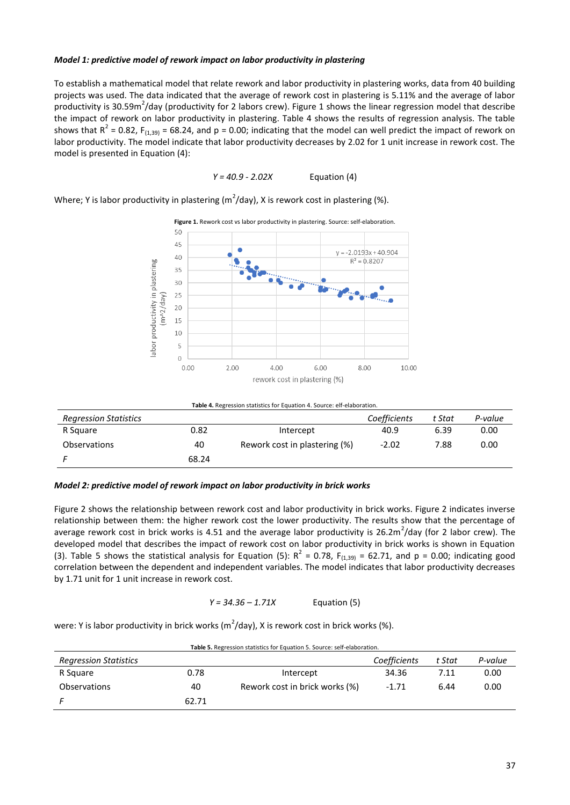## *Model 1: predictive model of rework impact on labor productivity in plastering*

To establish a mathematical model that relate rework and labor productivity in plastering works, data from 40 building projects was used. The data indicated that the average of rework cost in plastering is 5.11% and the average of labor productivity is 30.59m<sup>2</sup>/day (productivity for 2 labors crew). Figure 1 shows the linear regression model that describe the impact of rework on labor productivity in plastering. Table 4 shows the results of regression analysis. The table shows that  $R^2$  = 0.82, F<sub>(1,39)</sub> = 68.24, and p = 0.00; indicating that the model can well predict the impact of rework on labor productivity. The model indicate that labor productivity decreases by 2.02 for 1 unit increase in rework cost. The model is presented in Equation (4):

$$
Y = 40.9 - 2.02X
$$
 Equation (4)

Where; Y is labor productivity in plastering (m<sup>2</sup>/day), X is rework cost in plastering (%).



**Table 4.** Regression statistics for Equation 4. Source: elf-elaboration.

| <b>Regression Statistics</b> |       |                               | Coefficients | t Stat | P-value |
|------------------------------|-------|-------------------------------|--------------|--------|---------|
| R Square                     | 0.82  | Intercept                     | 40.9         | 6.39   | 0.00    |
| <b>Observations</b>          | 40    | Rework cost in plastering (%) | $-2.02$      | 7.88   | 0.00    |
|                              | 68.24 |                               |              |        |         |

#### *Model 2: predictive model of rework impact on labor productivity in brick works*

Figure 2 shows the relationship between rework cost and labor productivity in brick works. Figure 2 indicates inverse relationship between them: the higher rework cost the lower productivity. The results show that the percentage of average rework cost in brick works is 4.51 and the average labor productivity is 26.2m<sup>2</sup>/day (for 2 labor crew). The developed model that describes the impact of rework cost on labor productivity in brick works is shown in Equation (3). Table 5 shows the statistical analysis for Equation (5):  $R^2 = 0.78$ ,  $F_{(1,39)} = 62.71$ , and  $p = 0.00$ ; indicating good correlation between the dependent and independent variables. The model indicates that labor productivity decreases by 1.71 unit for 1 unit increase in rework cost.

## *Y = 34.36 – 1.71X* Equation (5)

were: Y is labor productivity in brick works (m<sup>2</sup>/day), X is rework cost in brick works (%).

| <b>Table 5.</b> Regression statistics for Equation 5. Source: self-elaboration. |       |                                |              |        |         |  |  |  |
|---------------------------------------------------------------------------------|-------|--------------------------------|--------------|--------|---------|--|--|--|
| <b>Regression Statistics</b>                                                    |       |                                | Coefficients | t Stat | P-value |  |  |  |
| R Square                                                                        | 0.78  | Intercept                      | 34.36        | 7.11   | 0.00    |  |  |  |
| <b>Observations</b>                                                             | 40    | Rework cost in brick works (%) | $-1.71$      | 6.44   | 0.00    |  |  |  |
|                                                                                 | 62.71 |                                |              |        |         |  |  |  |

**Table 5.** Regression statistics for Equation 5. Source: self-elaboration.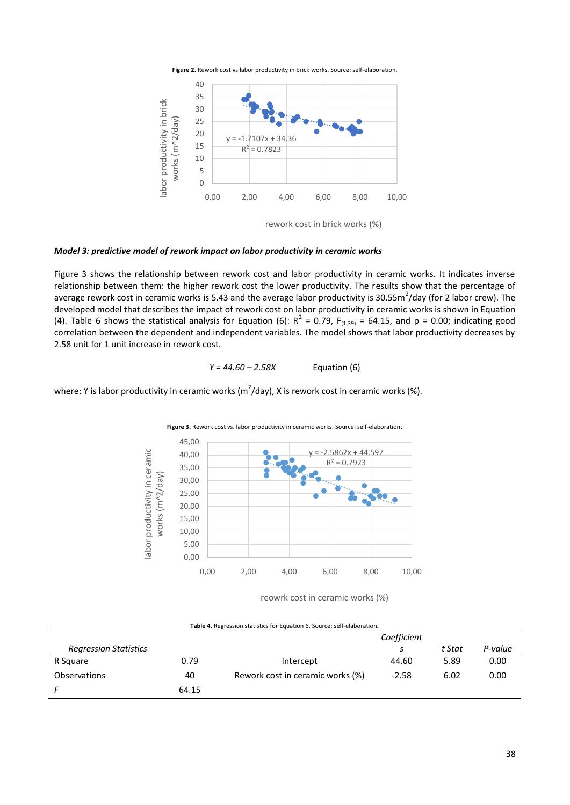



rework cost in brick works (%)

## *Model 3: predictive model of rework impact on labor productivity in ceramic works*

Figure 3 shows the relationship between rework cost and labor productivity in ceramic works. It indicates inverse relationship between them: the higher rework cost the lower productivity. The results show that the percentage of average rework cost in ceramic works is 5.43 and the average labor productivity is 30.55m<sup>2</sup>/day (for 2 labor crew). The developed model that describes the impact of rework cost on labor productivity in ceramic works is shown in Equation (4). Table 6 shows the statistical analysis for Equation (6):  $R^2 = 0.79$ ,  $F_{(1,39)} = 64.15$ , and  $p = 0.00$ ; indicating good correlation between the dependent and independent variables. The model shows that labor productivity decreases by 2.58 unit for 1 unit increase in rework cost.

$$
Y = 44.60 - 2.58X
$$
 Equation (6)

where: Y is labor productivity in ceramic works (m<sup>2</sup>/day), X is rework cost in ceramic works (%).



reowrk cost in ceramic works (%)

|                              |       |                                  | Coefficient |        |         |
|------------------------------|-------|----------------------------------|-------------|--------|---------|
| <b>Regression Statistics</b> |       |                                  |             | t Stat | P-value |
| R Square                     | 0.79  | Intercept                        | 44.60       | 5.89   | 0.00    |
| <b>Observations</b>          | 40    | Rework cost in ceramic works (%) | $-2.58$     | 6.02   | 0.00    |
|                              | 64.15 |                                  |             |        |         |

**Table 4.** Regression statistics for Equation 6. Source: self-elaboration*.*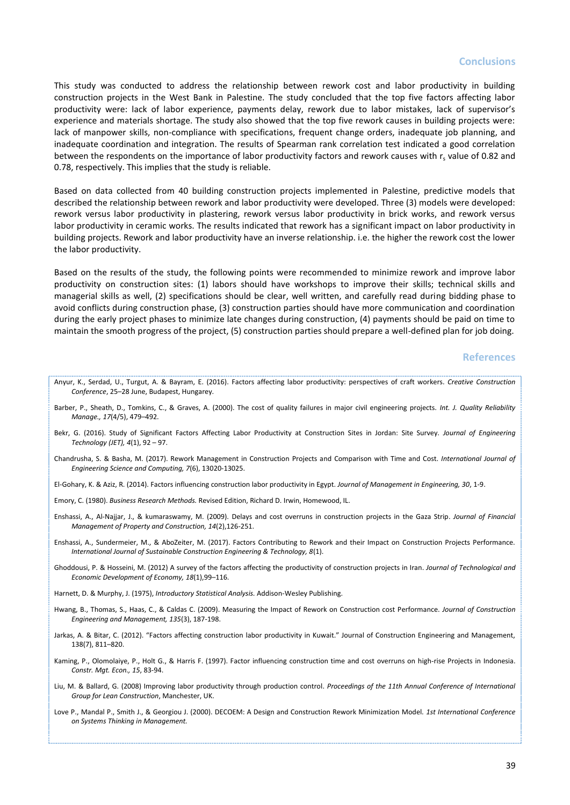This study was conducted to address the relationship between rework cost and labor productivity in building construction projects in the West Bank in Palestine. The study concluded that the top five factors affecting labor productivity were: lack of labor experience, payments delay, rework due to labor mistakes, lack of supervisor's experience and materials shortage. The study also showed that the top five rework causes in building projects were: lack of manpower skills, non-compliance with specifications, frequent change orders, inadequate job planning, and inadequate coordination and integration. The results of Spearman rank correlation test indicated a good correlation between the respondents on the importance of labor productivity factors and rework causes with  $r_s$  value of 0.82 and 0.78, respectively. This implies that the study is reliable.

Based on data collected from 40 building construction projects implemented in Palestine, predictive models that described the relationship between rework and labor productivity were developed. Three (3) models were developed: rework versus labor productivity in plastering, rework versus labor productivity in brick works, and rework versus labor productivity in ceramic works. The results indicated that rework has a significant impact on labor productivity in building projects. Rework and labor productivity have an inverse relationship. i.e. the higher the rework cost the lower the labor productivity.

Based on the results of the study, the following points were recommended to minimize rework and improve labor productivity on construction sites: (1) labors should have workshops to improve their skills; technical skills and managerial skills as well, (2) specifications should be clear, well written, and carefully read during bidding phase to avoid conflicts during construction phase, (3) construction parties should have more communication and coordination during the early project phases to minimize late changes during construction, (4) payments should be paid on time to maintain the smooth progress of the project, (5) construction parties should prepare a well-defined plan for job doing.

#### **References**

- Anyur, K., Serdad, U., Turgut, A. & Bayram, E. (2016). Factors affecting labor productivity: perspectives of craft workers. *Creative Construction Conference*, 25–28 June, Budapest, Hungarey.
- Barber, P., Sheath, D., Tomkins, C., & Graves, A. (2000). The cost of quality failures in major civil engineering projects. *Int. J. Quality Reliability Manage., 17*(4/5), 479–492.
- Bekr, G. (2016). Study of Significant Factors Affecting Labor Productivity at Construction Sites in Jordan: Site Survey. *Journal of Engineering Technology (JET), 4*(1), 92 – 97.
- Chandrusha, S. & Basha, M. (2017). Rework Management in Construction Projects and Comparison with Time and Cost. *International Journal of Engineering Science and Computing, 7*(6), 13020-13025.
- El-Gohary, K. & Aziz, R. (2014). Factors influencing construction labor productivity in Egypt. *Journal of Management in Engineering, 30*, 1-9.
- Emory, C. (1980). *Business Research Methods.* Revised Edition, Richard D. Irwin, Homewood, IL.
- Enshassi, A., Al-Najjar, J., & kumaraswamy, M. (2009). Delays and cost overruns in construction projects in the Gaza Strip. *Journal of Financial Management of Property and Construction, 14*(2),126-251.
- Enshassi, A., Sundermeier, M., & AboZeiter, M. (2017). Factors Contributing to Rework and their Impact on Construction Projects Performance. *International Journal of Sustainable Construction Engineering & Technology, 8*(1).
- Ghoddousi, P. & Hosseini, M. (2012) A survey of the factors affecting the productivity of construction projects in Iran. *Journal of Technological and Economic Development of Economy, 18*(1),99–116.
- Harnett, D. & Murphy, J. (1975), *Introductory Statistical Analysis.* Addison-Wesley Publishing.
- Hwang, B., Thomas, S., Haas, C., & Caldas C. (2009). Measuring the Impact of Rework on Construction cost Performance. *Journal of Construction Engineering and Management, 135*(3), 187-198.
- Jarkas, A. & Bitar, C. (2012). "Factors affecting construction labor productivity in Kuwait." Journal of Construction Engineering and Management, 138(7), 811–820.
- Kaming, P., Olomolaiye, P., Holt G., & Harris F. (1997). Factor influencing construction time and cost overruns on high-rise Projects in Indonesia. *Constr. Mgt. Econ., 15*, 83-94.
- Liu, M. & Ballard, G. (2008) Improving labor productivity through production control. *Proceedings of the 11th Annual Conference of International Group for Lean Construction*, Manchester, UK.
- Love P., Mandal P., Smith J., & Georgiou J. (2000). DECOEM: A Design and Construction Rework Minimization Model. *1st International Conference on Systems Thinking in Management.*